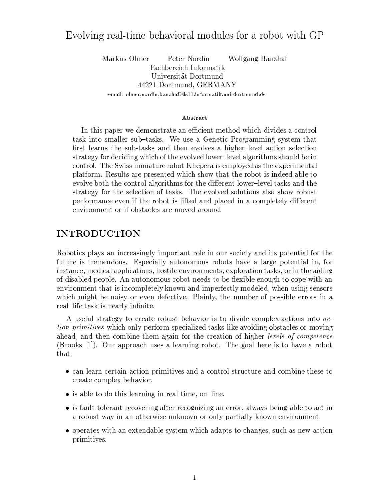# Evolving real-time behavioral modules for a robot with GP

Markus Olmer Peter Nordin Wolfgang Banzhaf Fachbereich Informatik Universität Dortmund 44221 Dortmund, GERMANY email: olmer, nordin, banzh af@ls11.informatik.uni-dortmund.de

#### Abstract

In this paper we demonstrate an efficient method which divides a control task into smaller sub-tasks. We use a Genetic Programming system that first learns the sub-tasks and then evolves a higher-level action selection strategy for deciding which of the evolved lower-level algorithms should be in control. The Swiss miniature robot Khepera is employed as the experimental platform. Results are presented which show that the robot is indeed able to evolve both the control algorithms for the different lower-level tasks and the strategy for the selection of tasks. The evolved solutions also show robust performance even if the robot is lifted and placed in a completely different environment or if obstacles are moved around.

#### **INTRODUCTION**

Robotics plays an increasingly important role in our society and its potential for the future is tremendous. Especially autonomous robots have a large potential in, for instance, medical applications, hostile environments, exploration tasks, or in the aiding of disabled people. An autonomous robot needs to be flexible enough to cope with an environment that is incompletely known and imperfectly modeled, when using sensors which might be noisy or even defective. Plainly, the number of possible errors in a real-life task is nearly infinite.

A useful strategy to create robust behavior is to divide complex actions into ac*tion primitives* which only perform specialized tasks like avoiding obstacles or moving ahead, and then combine them again for the creation of higher *levels of competence* (Brooks [1]). Our approach uses a learning robot. The goal here is to have a robot that:

- can learn certain action primitives and a control structure and combine these to create complex behavior.
- is able to do this learning in real time, on-line.
- is fault-tolerant recovering after recognizing an error, always being able to act in a robust way in an otherwise unknown or only partially known environment.
- operates with an extendable system which adapts to changes, such as new action primitives.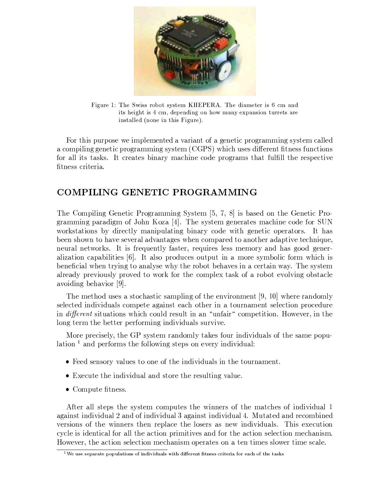

Figure 1: The Swiss robot system KHEPERA. The diameter is 6 cm and its height is 4 cm, depending on how many expansion turrets are installed (none in this Figure).

For this purpose we implemented a variant of a genetic programming system called a compiling genetic programming system (CGPS) which uses different fitness functions for all its tasks. It creates binary machine code programs that fulfill the respective fitness criteria.

# COMPILING GENETIC PROGRAMMING

The Compiling Genetic Programming System [5, 7, 8] is based on the Genetic Programming paradigm of John Koza [4]. The system generates machine code for SUN workstations by directly manipulating binary code with genetic operators. It has been shown to have several advantages when compared to another adaptive technique, neural networks. It is frequently faster, requires less memory and has good generalization capabilities [6]. It also produces output in a more symbolic form which is beneficial when trying to analyse why the robot behaves in a certain way. The system already previously proved to work for the complex task of a robot evolving obstacle avoiding behavior [9].

The method uses a stochastic sampling of the environment [9, 10] where randomly selected individuals compete against each other in a tournament selection procedure in *different* situations which could result in an "unfair" competition. However, in the long term the better performing individuals survive.

More precisely, the GP system randomly takes four individuals of the same population  $<sup>1</sup>$  and performs the following steps on every individual:</sup>

- Feed sensory values to one of the individuals in the tournament.
- Execute the individual and store the resulting value.
- $\bullet$  Compute fitness.

After all steps the system computes the winners of the matches of individual 1 against individual 2 and of individual 3 against individual 4. Mutated and recombined versions of the winners then replace the losers as new individuals. This execution cycle is identical for all the action primitives and for the action selection mechanism. However, the action selection mechanism operates on a ten times slower time scale.

<sup>&</sup>lt;sup>1</sup>We use separate populations of individuals with different fitness criteria for each of the tasks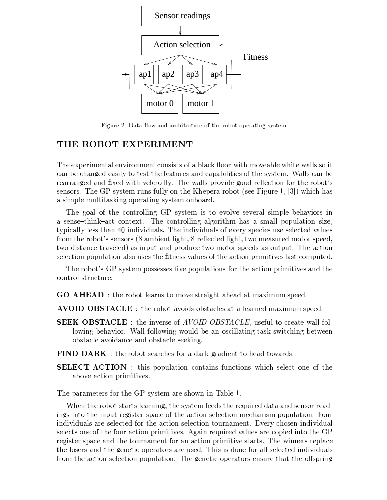

Figure 2: Data flow and architecture of the robot operating system.

## THE ROBOT EXPERIMENT

The experimental environment consists of a black floor with moveable white walls so it can be changed easily to test the features and capabilities of the system. Walls can be rearranged and fixed with velcro fly. The walls provide good reflection for the robot's sensors. The GP system runs fully on the Khepera robot (see Figure 1, [3]) which has a simple multitasking operating system onboard.

The goal of the controlling GP system is to evolve several simple behaviors in a sense-think-act context. The controlling algorithm has a small population size, typically less than 40 individuals. The individuals of every species use selected values from the robot's sensors (8 ambient light, 8 reflected light, two measured motor speed, two distance traveled) as input and produce two motor speeds as output. The action selection population also uses the fitness values of the action primitives last computed.

The robot's GP system possesses five populations for the action primitives and the control structure:

**GO AHEAD**: the robot learns to move straight ahead at maximum speed.

**AVOID OBSTACLE**: the robot avoids obstacles at a learned maximum speed.

- **SEEK OBSTACLE**: the inverse of *AVOID OBSTACLE*, useful to create wall following behavior. Wall following would be an oscillating task switching between obstacle avoidance and obstacle seeking.
- **FIND DARK**: the robot searches for a dark gradient to head towards.
- **SELECT ACTION**: this population contains functions which select one of the above action primitives.

The parameters for the GP system are shown in Table 1.

When the robot starts learning, the system feeds the required data and sensor readings into the input register space of the action selection mechanism population. Four individuals are selected for the action selection tournament. Every chosen individual selects one of the four action primitives. Again required values are copied into the GP register space and the tournament for an action primitive starts. The winners replace the losers and the genetic operators are used. This is done for all selected individuals from the action selection population. The genetic operators ensure that the offspring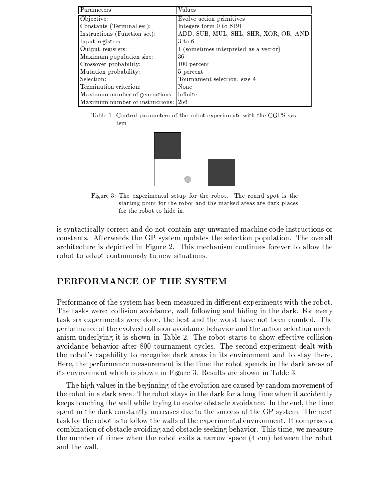| Parameters                      | Values                                |
|---------------------------------|---------------------------------------|
| Objective:                      | Evolve action primitives              |
| Constants (Terminal set):       | Integers form 0 to 8191               |
| Instructions (Function set):    | ADD, SUB, MUL, SHL, SHR, XOR, OR, AND |
| Input registers:                | $3 \text{ to } 6$                     |
| Output registers:               | 1 (sometimes interpreted as a vector) |
| Maximum population size:        | 36                                    |
| Crossover probability:          | 100 percent                           |
| Mutation probability:           | 5 percent                             |
| Selection:                      | Tournament selection, size 4          |
| Termination criterion:          | None                                  |
| Maximum number of generations:  | infinite                              |
| Maximum number of instructions: | -256                                  |

Table 1: Control parameters of the robot experiments with the CGPS system



Figure 3: The experimental setup for the robot. The round spot is the starting point for the robot and the marked areas are dark places for the robot to hide in.

is syntactically correct and do not contain any unwanted machine code instructions or constants. Afterwards the GP system updates the selection population. The overall architecture is depicted in Figure 2. This mechanism continues forever to allow the robot to adapt continuously to new situations.

## PERFORMANCE OF THE SYSTEM

Performance of the system has been measured in different experiments with the robot. The tasks were: collision avoidance, wall following and hiding in the dark. For every task six experiments were done, the best and the worst have not been counted. The performance of the evolved collision avoidance behavior and the action selection mechanism underlying it is shown in Table 2. The robot starts to show effective collision avoidance behavior after 800 tournament cycles. The second experiment dealt with the robot's capability to recognize dark areas in its environment and to stay there. Here, the performance measurement is the time the robot spends in the dark areas of its environment which is shown in Figure 3. Results are shown in Table 3.

The high values in the beginning of the evolution are caused by random movement of the robot in a dark area. The robot stays in the dark for a long time when it accidently keeps touching the wall while trying to evolve obstacle avoidance. In the end, the time spent in the dark constantly increases due to the success of the GP system. The next task for the robot is to follow the walls of the experimental environment. It comprises a combination of obstacle avoiding and obstacle seeking behavior. This time, we measure the number of times when the robot exits a narrow space (4 cm) between the robot and the wall.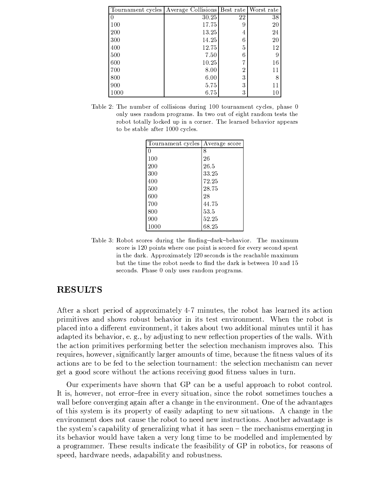|      | Tournament cycles Average Collisions Best rate Worst rate |    |        |
|------|-----------------------------------------------------------|----|--------|
|      | 30.25                                                     | 22 | 38     |
| 100  | 17.75                                                     | 9  | $20\,$ |
| 200  | 13.25                                                     | 4  | 24     |
| 300  | 14.25                                                     | 6  | $20\,$ |
| 400  | 12.75                                                     | 5  | 12     |
| 500  | 7.50                                                      | 6  |        |
| 600  | 10.25                                                     | 7  | 16     |
| 700  | 8.00                                                      | 2  | 11     |
| 800  | 6.00                                                      | 3  |        |
| 900  | 5.75                                                      | 3  |        |
| 1000 | 6.75                                                      | 3  |        |

Table 2: The number of collisions during 100 tournament cycles, phase 0 only uses random programs. In two out of eight random tests the robot totally locked up in a corner. The learned behavior appears to be stable after 1000 cycles.

| Tournament cycles | Average score |
|-------------------|---------------|
|                   |               |
|                   | 8             |
| 100               | 26            |
| 200               | 26.5          |
| 300               | 33.25         |
| 400               | 72.25         |
| 500               | 28.75         |
| 600               | 28            |
| 700               | 44.75         |
| 800               | 53.5          |
| 900               | 52.25         |
| 1000              | 68.25         |

Table 3: Robot scores during the finding-dark-behavior. The maximum score is 120 points where one point is scored for every second spent in the dark. Approximately 120 seconds is the reachable maximum but the time the robot needs to find the dark is between 10 and 15 seconds. Phase 0 only uses random programs.

### **RESULTS**

After a short period of approximately 4-7 minutes, the robot has learned its action primitives and shows robust behavior in its test environment. When the robot is placed into a different environment, it takes about two additional minutes until it has adapted its behavior, e. g., by adjusting to new reflection properties of the walls. With the action primitives performing better the selection mechanism improves also. This requires, however, significantly larger amounts of time, because the fitness values of its actions are to be fed to the selection tournament: the selection mechanism can never get a good score without the actions receiving good fitness values in turn.

Our experiments have shown that GP can be a useful approach to robot control. It is, however, not error-free in every situation, since the robot sometimes touches a wall before converging again after a change in the environment. One of the advantages of this system is its property of easily adapting to new situations. A change in the environment does not cause the robot to need new instructions. Another advantage is the system's capability of generalizing what it has seen  $-$  the mechanisms emerging in its behavior would have taken a very long time to be modelled and implemented by a programmer. These results indicate the feasibility of GP in robotics, for reasons of speed, hardware needs, adapability and robustness.